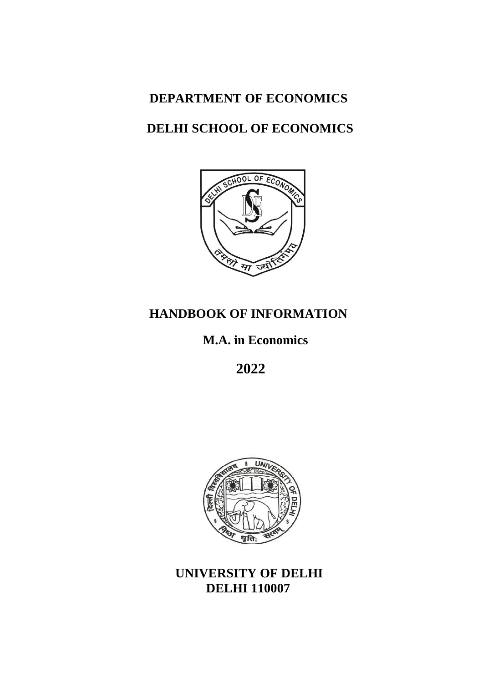# **DEPARTMENT OF ECONOMICS**

## **DELHI SCHOOL OF ECONOMICS**



# **HANDBOOK OF INFORMATION**

**M.A. in Economics**

**2022**



**UNIVERSITY OF DELHI DELHI 110007**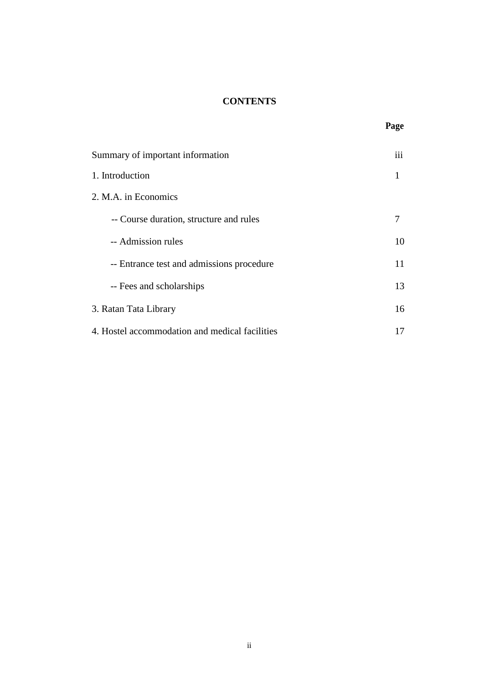## **CONTENTS**

| Summary of important information               | 111 |  |  |
|------------------------------------------------|-----|--|--|
| 1. Introduction                                |     |  |  |
| 2. M.A. in Economics                           |     |  |  |
| -- Course duration, structure and rules        | 7   |  |  |
| -- Admission rules                             | 10  |  |  |
| -- Entrance test and admissions procedure      | 11  |  |  |
| -- Fees and scholarships                       | 13  |  |  |
| 3. Ratan Tata Library                          |     |  |  |
| 4. Hostel accommodation and medical facilities |     |  |  |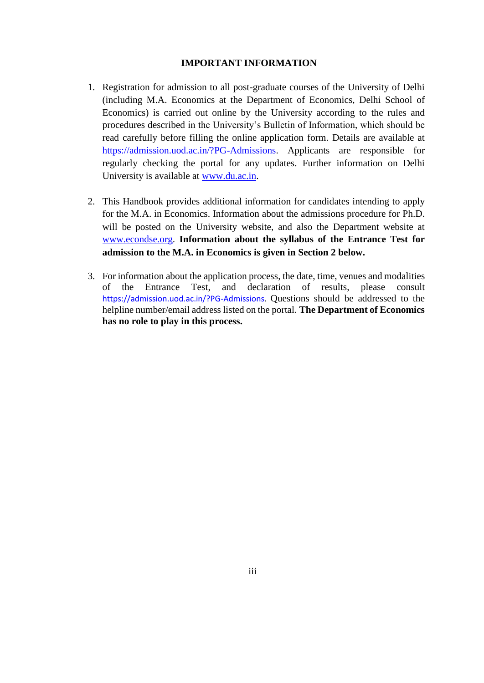#### **IMPORTANT INFORMATION**

- 1. Registration for admission to all post-graduate courses of the University of Delhi (including M.A. Economics at the Department of Economics, Delhi School of Economics) is carried out online by the University according to the rules and procedures described in the University's Bulletin of Information, which should be read carefully before filling the online application form. Details are available at [https://admission.uod.ac.in/?PG-Admissions.](https://admission.uod.ac.in/?PG-Admissions) Applicants are responsible for regularly checking the portal for any updates. Further information on Delhi University is available at [www.du.ac.in.](http://www.du.ac.in/)
- 2. This Handbook provides additional information for candidates intending to apply for the M.A. in Economics. Information about the admissions procedure for Ph.D. will be posted on the University website, and also the Department website at [www.econdse.org.](http://www.econdse.org/) **Information about the syllabus of the Entrance Test for admission to the M.A. in Economics is given in Section 2 below.**
- 3. For information about the application process, the date, time, venues and modalities of the Entrance Test, and declaration of results, please consult [https://admission.uod.ac.in/?PG-Admissions.](https://admission.uod.ac.in/?PG-Admissions) Questions should be addressed to the helpline number/email address listed on the portal. **The Department of Economics has no role to play in this process.**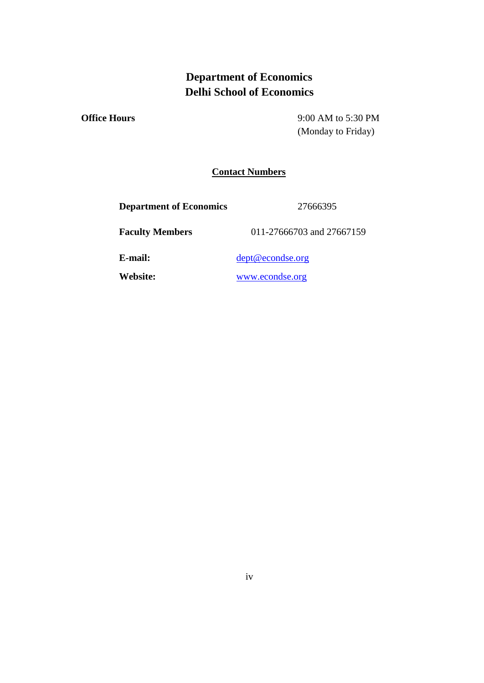## **Department of Economics Delhi School of Economics**

**Office Hours** 9:00 AM to 5:30 PM (Monday to Friday)

## **Contact Numbers**

**Department of Economics** 27666395

**Faculty Members** 011-27666703 and 27667159

**E-mail:** [dept@econdse.org](mailto:dept@econdse.org)

**Website:** [www.econdse.org](http://www.econdse.org/)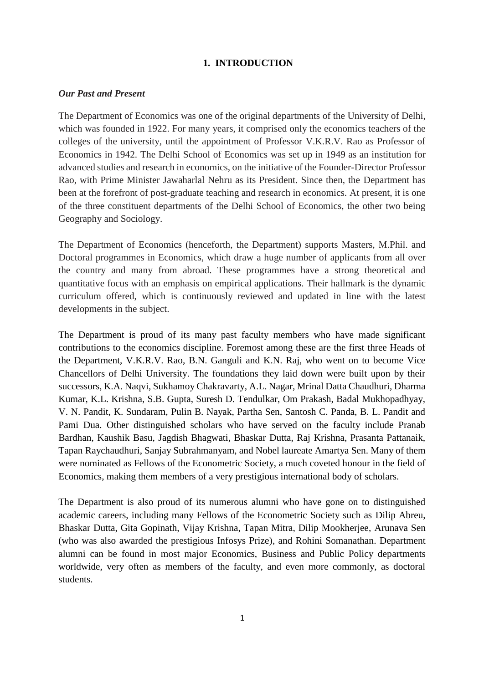## **1. INTRODUCTION**

#### *Our Past and Present*

The Department of Economics was one of the original departments of the University of Delhi, which was founded in 1922. For many years, it comprised only the economics teachers of the colleges of the university, until the appointment of Professor V.K.R.V. Rao as Professor of Economics in 1942. The Delhi School of Economics was set up in 1949 as an institution for advanced studies and research in economics, on the initiative of the Founder-Director Professor Rao, with Prime Minister Jawaharlal Nehru as its President. Since then, the Department has been at the forefront of post-graduate teaching and research in economics. At present, it is one of the three constituent departments of the Delhi School of Economics, the other two being Geography and Sociology.

The Department of Economics (henceforth, the Department) supports Masters, M.Phil. and Doctoral programmes in Economics, which draw a huge number of applicants from all over the country and many from abroad. These programmes have a strong theoretical and quantitative focus with an emphasis on empirical applications. Their hallmark is the dynamic curriculum offered, which is continuously reviewed and updated in line with the latest developments in the subject.

The Department is proud of its many past faculty members who have made significant contributions to the economics discipline. Foremost among these are the first three Heads of the Department, V.K.R.V. Rao, B.N. Ganguli and K.N. Raj, who went on to become Vice Chancellors of Delhi University. The foundations they laid down were built upon by their successors, K.A. Naqvi, Sukhamoy Chakravarty, A.L. Nagar, Mrinal Datta Chaudhuri, Dharma Kumar, K.L. Krishna, S.B. Gupta, Suresh D. Tendulkar, Om Prakash, Badal Mukhopadhyay, V. N. Pandit, K. Sundaram, Pulin B. Nayak, Partha Sen, Santosh C. Panda, B. L. Pandit and Pami Dua. Other distinguished scholars who have served on the faculty include Pranab Bardhan, Kaushik Basu, Jagdish Bhagwati, Bhaskar Dutta, Raj Krishna, Prasanta Pattanaik, Tapan Raychaudhuri, Sanjay Subrahmanyam, and Nobel laureate Amartya Sen. Many of them were nominated as Fellows of the Econometric Society, a much coveted honour in the field of Economics, making them members of a very prestigious international body of scholars.

The Department is also proud of its numerous alumni who have gone on to distinguished academic careers, including many Fellows of the Econometric Society such as Dilip Abreu, Bhaskar Dutta, Gita Gopinath, Vijay Krishna, Tapan Mitra, Dilip Mookherjee, Arunava Sen (who was also awarded the prestigious Infosys Prize), and Rohini Somanathan. Department alumni can be found in most major Economics, Business and Public Policy departments worldwide, very often as members of the faculty, and even more commonly, as doctoral students.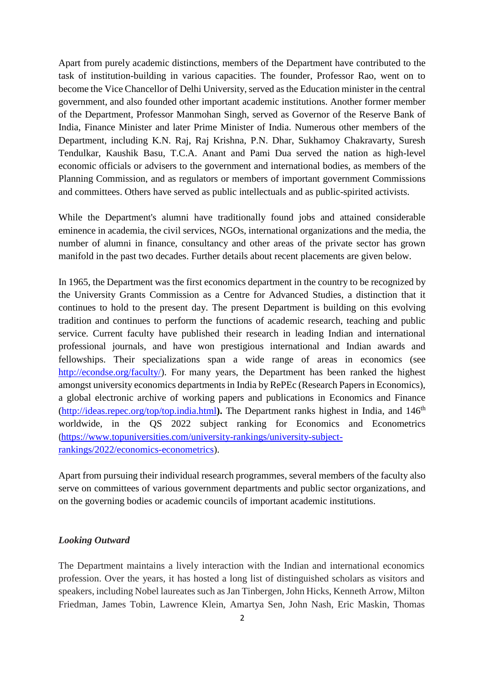Apart from purely academic distinctions, members of the Department have contributed to the task of institution-building in various capacities. The founder, Professor Rao, went on to become the Vice Chancellor of Delhi University, served as the Education minister in the central government, and also founded other important academic institutions. Another former member of the Department, Professor Manmohan Singh, served as Governor of the Reserve Bank of India, Finance Minister and later Prime Minister of India. Numerous other members of the Department, including K.N. Raj, Raj Krishna, P.N. Dhar, Sukhamoy Chakravarty, Suresh Tendulkar, Kaushik Basu, T.C.A. Anant and Pami Dua served the nation as high-level economic officials or advisers to the government and international bodies, as members of the Planning Commission, and as regulators or members of important government Commissions and committees. Others have served as public intellectuals and as public-spirited activists.

While the Department's alumni have traditionally found jobs and attained considerable eminence in academia, the civil services, NGOs, international organizations and the media, the number of alumni in finance, consultancy and other areas of the private sector has grown manifold in the past two decades. Further details about recent placements are given below.

In 1965, the Department was the first economics department in the country to be recognized by the University Grants Commission as a Centre for Advanced Studies, a distinction that it continues to hold to the present day. The present Department is building on this evolving tradition and continues to perform the functions of academic research, teaching and public service. Current faculty have published their research in leading Indian and international professional journals, and have won prestigious international and Indian awards and fellowships. Their specializations span a wide range of areas in economics (see [http://econdse.org/faculty/\)](http://econdse.org/faculty/). For many years, the Department has been ranked the highest amongst university economics departments in India by RePEc (Research Papers in Economics), a global electronic archive of working papers and publications in Economics and Finance [\(http://ideas.repec.org/top/top.india.html](http://ideas.repec.org/top/top.india.html)). The Department ranks highest in India, and 146<sup>th</sup> worldwide, in the QS 2022 subject ranking for Economics and Econometrics ([https://www.topuniversities.com/university-rankings/university-subject](https://www.topuniversities.com/university-rankings/university-subject-rankings/2022/economics-econometrics)[rankings/2022/economics-econometrics\)](https://www.topuniversities.com/university-rankings/university-subject-rankings/2022/economics-econometrics).

Apart from pursuing their individual research programmes, several members of the faculty also serve on committees of various government departments and public sector organizations, and on the governing bodies or academic councils of important academic institutions.

## *Looking Outward*

The Department maintains a lively interaction with the Indian and international economics profession. Over the years, it has hosted a long list of distinguished scholars as visitors and speakers, including Nobel laureates such as Jan Tinbergen, John Hicks, Kenneth Arrow, Milton Friedman, James Tobin, Lawrence Klein, Amartya Sen, John Nash, Eric Maskin, Thomas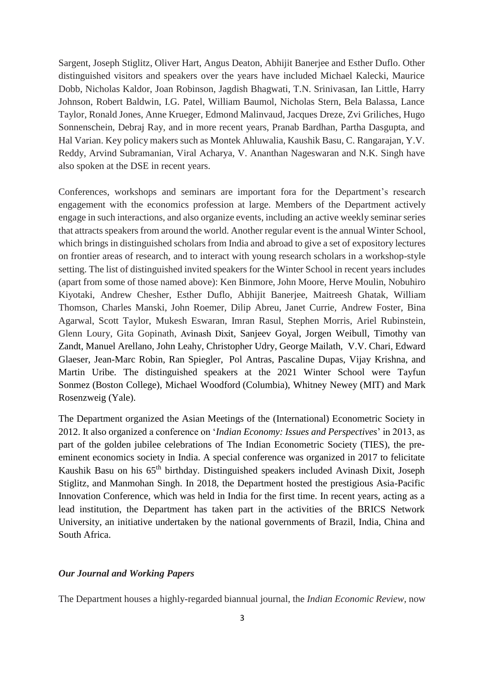Sargent, Joseph Stiglitz, Oliver Hart, Angus Deaton, Abhijit Banerjee and Esther Duflo. Other distinguished visitors and speakers over the years have included Michael Kalecki, Maurice Dobb, Nicholas Kaldor, Joan Robinson, Jagdish Bhagwati, T.N. Srinivasan, Ian Little, Harry Johnson, Robert Baldwin, I.G. Patel, William Baumol, Nicholas Stern, Bela Balassa, Lance Taylor, Ronald Jones, Anne Krueger, Edmond Malinvaud, Jacques Dreze, Zvi Griliches, Hugo Sonnenschein, Debraj Ray, and in more recent years, Pranab Bardhan, Partha Dasgupta, and Hal Varian. Key policy makers such as Montek Ahluwalia, Kaushik Basu, C. Rangarajan, Y.V. Reddy, Arvind Subramanian, Viral Acharya, V. Ananthan Nageswaran and N.K. Singh have also spoken at the DSE in recent years.

Conferences, workshops and seminars are important fora for the Department's research engagement with the economics profession at large. Members of the Department actively engage in such interactions, and also organize events, including an active weekly seminar series that attracts speakers from around the world. Another regular event is the annual Winter School, which brings in distinguished scholars from India and abroad to give a set of expository lectures on frontier areas of research, and to interact with young research scholars in a workshop-style setting. The list of distinguished invited speakers for the Winter School in recent years includes (apart from some of those named above): Ken Binmore, John Moore, Herve Moulin, Nobuhiro Kiyotaki, Andrew Chesher, Esther Duflo, Abhijit Banerjee, Maitreesh Ghatak, William Thomson, Charles Manski, John Roemer, Dilip Abreu, Janet Currie, Andrew Foster, Bina Agarwal, Scott Taylor, Mukesh Eswaran, Imran Rasul, Stephen Morris, Ariel Rubinstein, Glenn Loury, Gita Gopinath, Avinash Dixit, Sanjeev Goyal, Jorgen Weibull, Timothy van Zandt, Manuel Arellano, John Leahy, Christopher Udry, George Mailath, V.V. Chari, Edward Glaeser, Jean-Marc Robin, Ran Spiegler, Pol Antras, Pascaline Dupas, Vijay Krishna, and Martin Uribe. The distinguished speakers at the 2021 Winter School were Tayfun Sonmez (Boston College), Michael Woodford (Columbia), Whitney Newey (MIT) and Mark Rosenzweig (Yale).

The Department organized the Asian Meetings of the (International) Econometric Society in 2012. It also organized a conference on '*Indian Economy: Issues and Perspectives*' in 2013, as part of the golden jubilee celebrations of The Indian Econometric Society (TIES), the preeminent economics society in India. A special conference was organized in 2017 to felicitate Kaushik Basu on his 65<sup>th</sup> birthday. Distinguished speakers included Avinash Dixit, Joseph Stiglitz, and Manmohan Singh. In 2018, the Department hosted the prestigious Asia-Pacific Innovation Conference, which was held in India for the first time. In recent years, acting as a lead institution, the Department has taken part in the activities of the BRICS Network University, an initiative undertaken by the national governments of Brazil, India, China and South Africa.

### *Our Journal and Working Papers*

The Department houses a highly-regarded biannual journal, the *Indian Economic Review*, now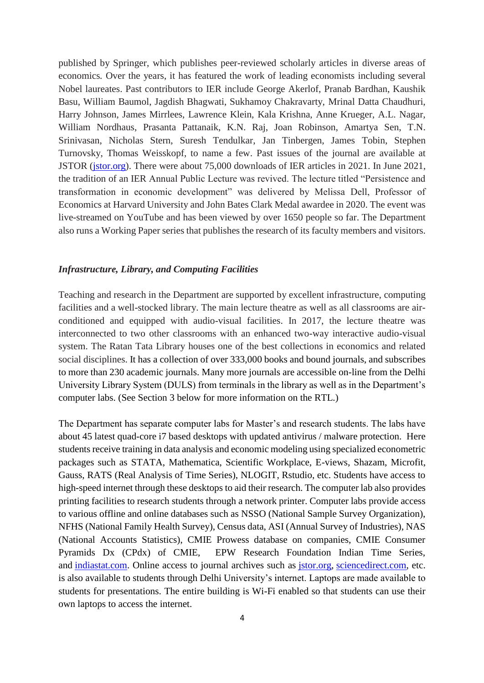published by Springer, which publishes peer-reviewed scholarly articles in diverse areas of economics*.* Over the years, it has featured the work of leading economists including several Nobel laureates. Past contributors to IER include George Akerlof, Pranab Bardhan, Kaushik Basu, William Baumol, Jagdish Bhagwati, Sukhamoy Chakravarty, Mrinal Datta Chaudhuri, Harry Johnson, James Mirrlees, Lawrence Klein, Kala Krishna, Anne Krueger, A.L. Nagar, William Nordhaus, Prasanta Pattanaik, K.N. Raj, Joan Robinson, Amartya Sen, T.N. Srinivasan, Nicholas Stern, Suresh Tendulkar, Jan Tinbergen, James Tobin, Stephen Turnovsky, Thomas Weisskopf, to name a few. Past issues of the journal are available at JSTOR [\(jstor.org\)](http://jstor.org/). There were about 75,000 downloads of IER articles in 2021. In June 2021, the tradition of an IER Annual Public Lecture was revived. The lecture titled "Persistence and transformation in economic development" was delivered by Melissa Dell, Professor of Economics at Harvard University and John Bates Clark Medal awardee in 2020. The event was live-streamed on YouTube and has been viewed by over 1650 people so far. The Department also runs a Working Paper series that publishes the research of its faculty members and visitors.

#### *Infrastructure, Library, and Computing Facilities*

Teaching and research in the Department are supported by excellent infrastructure, computing facilities and a well-stocked library. The main lecture theatre as well as all classrooms are airconditioned and equipped with audio-visual facilities. In 2017, the lecture theatre was interconnected to two other classrooms with an enhanced two-way interactive audio-visual system. The Ratan Tata Library houses one of the best collections in economics and related social disciplines. It has a collection of over 333,000 books and bound journals, and subscribes to more than 230 academic journals. Many more journals are accessible on-line from the Delhi University Library System (DULS) from terminals in the library as well as in the Department's computer labs. (See Section 3 below for more information on the RTL.)

The Department has separate computer labs for Master's and research students. The labs have about 45 latest quad-core i7 based desktops with updated antivirus / malware protection. Here students receive training in data analysis and economic modeling using specialized econometric packages such as STATA, Mathematica, Scientific Workplace, E-views, Shazam, Microfit, Gauss, RATS (Real Analysis of Time Series), NLOGIT, Rstudio, etc. Students have access to high-speed internet through these desktops to aid their research. The computer lab also provides printing facilities to research students through a network printer. Computer labs provide access to various offline and online databases such as NSSO (National Sample Survey Organization), NFHS (National Family Health Survey), Census data, ASI (Annual Survey of Industries), NAS (National Accounts Statistics), CMIE Prowess database on companies, CMIE Consumer Pyramids Dx (CPdx) of CMIE, EPW Research Foundation Indian Time Series, and [indiastat.com.](http://indiastat.com/) Online access to journal archives such as [jstor.org,](http://jstor.org/) [sciencedirect.com,](http://sciencedirect.com/) etc. is also available to students through Delhi University's internet. Laptops are made available to students for presentations. The entire building is Wi-Fi enabled so that students can use their own laptops to access the internet.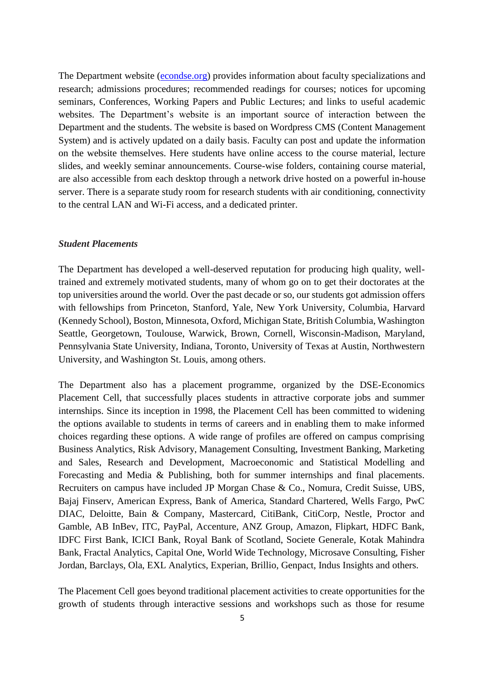The Department website [\(econdse.org\)](http://econdse.org/) provides information about faculty specializations and research; admissions procedures; recommended readings for courses; notices for upcoming seminars, Conferences, Working Papers and Public Lectures; and links to useful academic websites. The Department's website is an important source of interaction between the Department and the students. The website is based on Wordpress CMS (Content Management System) and is actively updated on a daily basis. Faculty can post and update the information on the website themselves. Here students have online access to the course material, lecture slides, and weekly seminar announcements. Course-wise folders, containing course material, are also accessible from each desktop through a network drive hosted on a powerful in-house server. There is a separate study room for research students with air conditioning, connectivity to the central LAN and Wi-Fi access, and a dedicated printer.

#### *Student Placements*

The Department has developed a well-deserved reputation for producing high quality, welltrained and extremely motivated students, many of whom go on to get their doctorates at the top universities around the world. Over the past decade or so, our students got admission offers with fellowships from Princeton, Stanford, Yale, New York University, Columbia, Harvard (Kennedy School), Boston, Minnesota, Oxford, Michigan State, British Columbia, Washington Seattle, Georgetown, Toulouse, Warwick, Brown, Cornell, Wisconsin-Madison, Maryland, Pennsylvania State University, Indiana, Toronto, University of Texas at Austin, Northwestern University, and Washington St. Louis, among others.

The Department also has a placement programme, organized by the DSE-Economics Placement Cell, that successfully places students in attractive corporate jobs and summer internships. Since its inception in 1998, the Placement Cell has been committed to widening the options available to students in terms of careers and in enabling them to make informed choices regarding these options. A wide range of profiles are offered on campus comprising Business Analytics, Risk Advisory, Management Consulting, Investment Banking, Marketing and Sales, Research and Development, Macroeconomic and Statistical Modelling and Forecasting and Media & Publishing, both for summer internships and final placements. Recruiters on campus have included JP Morgan Chase & Co., Nomura, Credit Suisse, UBS, Bajaj Finserv, American Express, Bank of America, Standard Chartered, Wells Fargo, PwC DIAC, Deloitte, Bain & Company, Mastercard, CitiBank, CitiCorp, Nestle, Proctor and Gamble, AB InBev, ITC, PayPal, Accenture, ANZ Group, Amazon, Flipkart, HDFC Bank, IDFC First Bank, ICICI Bank, Royal Bank of Scotland, Societe Generale, Kotak Mahindra Bank, Fractal Analytics, Capital One, World Wide Technology, Microsave Consulting, Fisher Jordan, Barclays, Ola, EXL Analytics, Experian, Brillio, Genpact, Indus Insights and others.

The Placement Cell goes beyond traditional placement activities to create opportunities for the growth of students through interactive sessions and workshops such as those for resume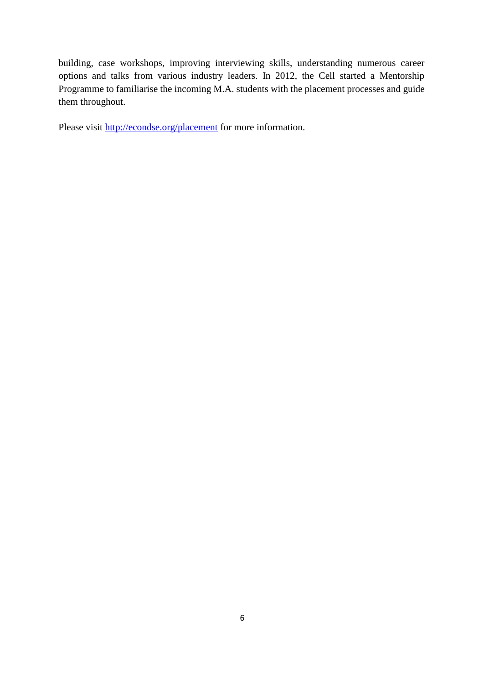building, case workshops, improving interviewing skills, understanding numerous career options and talks from various industry leaders. In 2012, the Cell started a Mentorship Programme to familiarise the incoming M.A. students with the placement processes and guide them throughout.

Please visit <http://econdse.org/placement> for more information.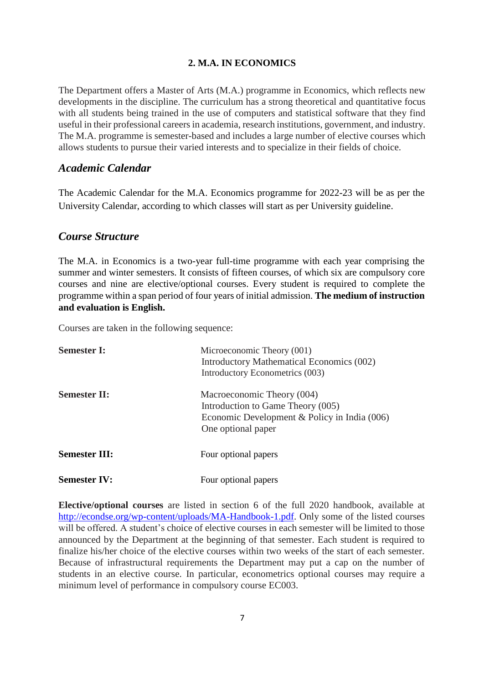## **2. M.A. IN ECONOMICS**

The Department offers a Master of Arts (M.A.) programme in Economics, which reflects new developments in the discipline. The curriculum has a strong theoretical and quantitative focus with all students being trained in the use of computers and statistical software that they find useful in their professional careers in academia, research institutions, government, and industry. The M.A. programme is semester-based and includes a large number of elective courses which allows students to pursue their varied interests and to specialize in their fields of choice.

## *Academic Calendar*

The Academic Calendar for the M.A. Economics programme for 2022-23 will be as per the University Calendar, according to which classes will start as per University guideline.

## *Course Structure*

The M.A. in Economics is a two-year full-time programme with each year comprising the summer and winter semesters. It consists of fifteen courses, of which six are compulsory core courses and nine are elective/optional courses. Every student is required to complete the programme within a span period of four years of initial admission. **The medium of instruction and evaluation is English.**

Courses are taken in the following sequence:

| <b>Semester I:</b>   | Microeconomic Theory (001)<br>Introductory Mathematical Economics (002)<br>Introductory Econometrics (003)                            |
|----------------------|---------------------------------------------------------------------------------------------------------------------------------------|
| <b>Semester II:</b>  | Macroeconomic Theory (004)<br>Introduction to Game Theory (005)<br>Economic Development & Policy in India (006)<br>One optional paper |
| <b>Semester III:</b> | Four optional papers                                                                                                                  |
| <b>Semester IV:</b>  | Four optional papers                                                                                                                  |

**Elective/optional courses** are listed in section 6 of the full 2020 handbook, available at [http://econdse.org/wp-content/uploads/MA-Handbook-1.pdf.](http://econdse.org/wp-content/uploads/MA-Handbook-1.pdf) Only some of the listed courses will be offered. A student's choice of elective courses in each semester will be limited to those announced by the Department at the beginning of that semester. Each student is required to finalize his/her choice of the elective courses within two weeks of the start of each semester. Because of infrastructural requirements the Department may put a cap on the number of students in an elective course. In particular, econometrics optional courses may require a minimum level of performance in compulsory course EC003.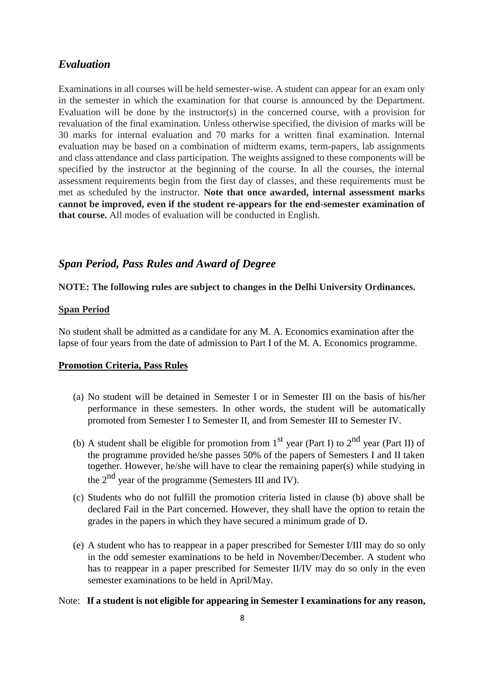## *Evaluation*

Examinations in all courses will be held semester-wise. A student can appear for an exam only in the semester in which the examination for that course is announced by the Department. Evaluation will be done by the instructor(s) in the concerned course, with a provision for revaluation of the final examination. Unless otherwise specified, the division of marks will be 30 marks for internal evaluation and 70 marks for a written final examination. Internal evaluation may be based on a combination of midterm exams, term-papers, lab assignments and class attendance and class participation. The weights assigned to these components will be specified by the instructor at the beginning of the course. In all the courses, the internal assessment requirements begin from the first day of classes, and these requirements must be met as scheduled by the instructor. **Note that once awarded, internal assessment marks cannot be improved, even if the student re-appears for the end-semester examination of that course.** All modes of evaluation will be conducted in English.

## *Span Period, Pass Rules and Award of Degree*

## **NOTE: The following rules are subject to changes in the Delhi University Ordinances.**

## **Span Period**

No student shall be admitted as a candidate for any M. A. Economics examination after the lapse of four years from the date of admission to Part I of the M. A. Economics programme.

#### **Promotion Criteria, Pass Rules**

- (a) No student will be detained in Semester I or in Semester III on the basis of his/her performance in these semesters. In other words, the student will be automatically promoted from Semester I to Semester II, and from Semester III to Semester IV.
- (b) A student shall be eligible for promotion from  $1<sup>st</sup>$  year (Part I) to  $2<sup>nd</sup>$  year (Part II) of the programme provided he/she passes 50% of the papers of Semesters I and II taken together. However, he/she will have to clear the remaining paper(s) while studying in the 2<sup>nd</sup> year of the programme (Semesters III and IV).
- (c) Students who do not fulfill the promotion criteria listed in clause (b) above shall be declared Fail in the Part concerned. However, they shall have the option to retain the grades in the papers in which they have secured a minimum grade of D.
- (e) A student who has to reappear in a paper prescribed for Semester I/III may do so only in the odd semester examinations to be held in November/December. A student who has to reappear in a paper prescribed for Semester II/IV may do so only in the even semester examinations to be held in April/May.

#### Note: **If a student is not eligible for appearing in Semester I examinations for any reason,**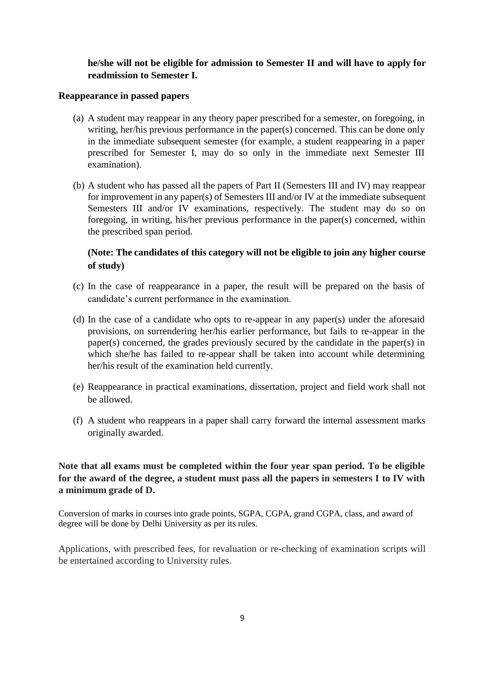## **he/she will not be eligible for admission to Semester II and will have to apply for readmission to Semester I.**

## **Reappearance in passed papers**

- (a) A student may reappear in any theory paper prescribed for a semester, on foregoing, in writing, her/his previous performance in the paper(s) concerned. This can be done only in the immediate subsequent semester (for example, a student reappearing in a paper prescribed for Semester I, may do so only in the immediate next Semester III examination).
- (b) A student who has passed all the papers of Part II (Semesters III and IV) may reappear for improvement in any paper(s) of Semesters III and/or IV at the immediate subsequent Semesters III and/or IV examinations, respectively. The student may do so on foregoing, in writing, his/her previous performance in the paper(s) concerned, within the prescribed span period.

## **(Note: The candidates of this category will not be eligible to join any higher course of study)**

- (c) In the case of reappearance in a paper, the result will be prepared on the basis of candidate's current performance in the examination.
- (d) In the case of a candidate who opts to re-appear in any paper(s) under the aforesaid provisions, on surrendering her/his earlier performance, but fails to re-appear in the paper(s) concerned, the grades previously secured by the candidate in the paper(s) in which she/he has failed to re-appear shall be taken into account while determining her/his result of the examination held currently.
- (e) Reappearance in practical examinations, dissertation, project and field work shall not be allowed.
- (f) A student who reappears in a paper shall carry forward the internal assessment marks originally awarded.

## **Note that all exams must be completed within the four year span period. To be eligible for the award of the degree, a student must pass all the papers in semesters I to IV with a minimum grade of D.**

Conversion of marks in courses into grade points, SGPA, CGPA, grand CGPA, class, and award of degree will be done by Delhi University as per its rules.

Applications, with prescribed fees, for revaluation or re-checking of examination scripts will be entertained according to University rules.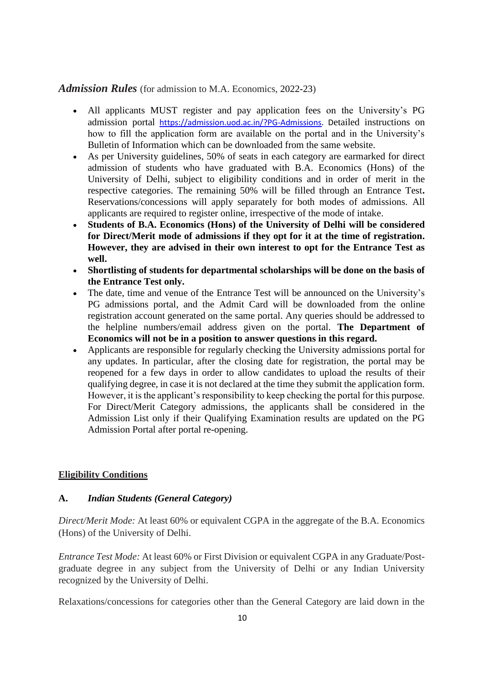## Admission Rules (for admission to M.A. Economics, 2022-23)

- All applicants MUST register and pay application fees on the University's PG admission portal [https://admission.uod.ac.in/?PG-Admissions.](https://admission.uod.ac.in/?PG-Admissions) Detailed instructions on how to fill the application form are available on the portal and in the University's Bulletin of Information which can be downloaded from the same website.
- As per University guidelines, 50% of seats in each category are earmarked for direct admission of students who have graduated with B.A. Economics (Hons) of the University of Delhi, subject to eligibility conditions and in order of merit in the respective categories. The remaining 50% will be filled through an Entrance Test**.** Reservations/concessions will apply separately for both modes of admissions. All applicants are required to register online, irrespective of the mode of intake.
- **Students of B.A. Economics (Hons) of the University of Delhi will be considered for Direct/Merit mode of admissions if they opt for it at the time of registration. However, they are advised in their own interest to opt for the Entrance Test as well.**
- **Shortlisting of students for departmental scholarships will be done on the basis of the Entrance Test only.**
- The date, time and venue of the Entrance Test will be announced on the University's PG admissions portal, and the Admit Card will be downloaded from the online registration account generated on the same portal. Any queries should be addressed to the helpline numbers/email address given on the portal. **The Department of Economics will not be in a position to answer questions in this regard.**
- Applicants are responsible for regularly checking the University admissions portal for any updates. In particular, after the closing date for registration, the portal may be reopened for a few days in order to allow candidates to upload the results of their qualifying degree, in case it is not declared at the time they submit the application form. However, it is the applicant's responsibility to keep checking the portal for this purpose. For Direct/Merit Category admissions, the applicants shall be considered in the Admission List only if their Qualifying Examination results are updated on the PG Admission Portal after portal re-opening.

## **Eligibility Conditions**

## **A.** *Indian Students (General Category)*

*Direct/Merit Mode:* At least 60% or equivalent CGPA in the aggregate of the B.A. Economics (Hons) of the University of Delhi.

*Entrance Test Mode:* At least 60% or First Division or equivalent CGPA in any Graduate/Postgraduate degree in any subject from the University of Delhi or any Indian University recognized by the University of Delhi.

Relaxations/concessions for categories other than the General Category are laid down in the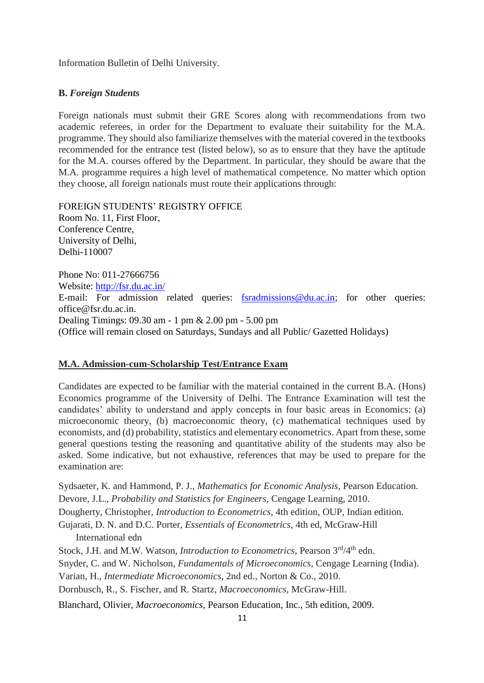Information Bulletin of Delhi University.

## **B.** *Foreign Students*

Foreign nationals must submit their GRE Scores along with recommendations from two academic referees, in order for the Department to evaluate their suitability for the M.A. programme. They should also familiarize themselves with the material covered in the textbooks recommended for the entrance test (listed below), so as to ensure that they have the aptitude for the M.A. courses offered by the Department. In particular, they should be aware that the M.A. programme requires a high level of mathematical competence. No matter which option they choose, all foreign nationals must route their applications through:

FOREIGN STUDENTS' REGISTRY OFFICE Room No. 11, First Floor, Conference Centre, University of Delhi, Delhi-110007

Phone No: 011-27666756 Website:<http://fsr.du.ac.in/> E-mail: For admission related queries: [fsradmissions@du.ac.in;](mailto:fsradmissions@du.ac.in) for other queries: office@fsr.du.ac.in. Dealing Timings: 09.30 am - 1 pm & 2.00 pm - 5.00 pm (Office will remain closed on Saturdays, Sundays and all Public/ Gazetted Holidays)

#### **M.A. Admission-cum-Scholarship Test/Entrance Exam**

Candidates are expected to be familiar with the material contained in the current B.A. (Hons) Economics programme of the University of Delhi. The Entrance Examination will test the candidates' ability to understand and apply concepts in four basic areas in Economics: (a) microeconomic theory, (b) macroeconomic theory, (c) mathematical techniques used by economists, and (d) probability, statistics and elementary econometrics. Apart from these, some general questions testing the reasoning and quantitative ability of the students may also be asked. Some indicative, but not exhaustive, references that may be used to prepare for the examination are:

Sydsaeter, K. and Hammond, P. J., *Mathematics for Economic Analysis*, Pearson Education. Devore, J.L., *Probability and Statistics for Engineers,* Cengage Learning, 2010.

Dougherty, Christopher, *Introduction to Econometrics*, 4th edition, OUP, Indian edition.

Gujarati, D. N. and D.C. Porter, *Essentials of Econometrics*, 4th ed, McGraw-Hill International edn

Stock, J.H. and M.W. Watson, *Introduction to Econometrics*, Pearson 3rd/4th edn.

Snyder, C. and W. Nicholson, *Fundamentals of Microeconomics*, Cengage Learning (India).

Varian, H., *Intermediate Microeconomics*, 2nd ed., Norton & Co., 2010.

Dornbusch, R., S. Fischer, and R. Startz, *Macroeconomics*, McGraw-Hill.

Blanchard, Olivier, *Macroeconomics*, Pearson Education, Inc., 5th edition, 2009.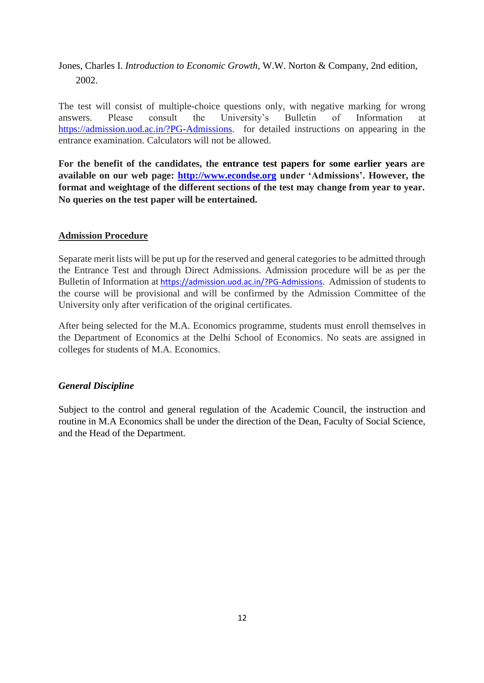Jones, Charles I. *Introduction to Economic Growth*, W.W. Norton & Company, 2nd edition, 2002.

The test will consist of multiple-choice questions only, with negative marking for wrong answers. Please consult the University's Bulletin of Information at [https://admission.uod.ac.in/?PG-Admissions.](https://admission.uod.ac.in/?PG-Admissions) for detailed instructions on appearing in the entrance examination. Calculators will not be allowed.

**For the benefit of the candidates, the entrance test papers for some earlier years are available on our web page: http://www.econdse.org under 'Admissions'. However, the format and weightage of the different sections of the test may change from year to year. No queries on the test paper will be entertained.**

## **Admission Procedure**

Separate merit lists will be put up for the reserved and general categories to be admitted through the Entrance Test and through Direct Admissions. Admission procedure will be as per the Bulletin of Information at [https://admission.uod.ac.in/?PG-Admissions.](https://admission.uod.ac.in/?PG-Admissions) Admission of students to the course will be provisional and will be confirmed by the Admission Committee of the University only after verification of the original certificates.

After being selected for the M.A. Economics programme, students must enroll themselves in the Department of Economics at the Delhi School of Economics. No seats are assigned in colleges for students of M.A. Economics.

## *General Discipline*

Subject to the control and general regulation of the Academic Council, the instruction and routine in M.A Economics shall be under the direction of the Dean, Faculty of Social Science, and the Head of the Department.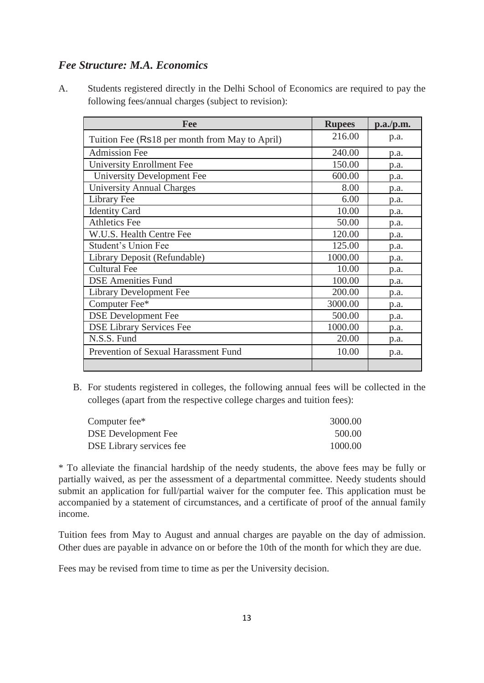## *Fee Structure: M.A. Economics*

A. Students registered directly in the Delhi School of Economics are required to pay the following fees/annual charges (subject to revision):

| Fee                                            | <b>Rupees</b> | p.a./p.m. |
|------------------------------------------------|---------------|-----------|
| Tuition Fee (Rs18 per month from May to April) | 216.00        | p.a.      |
| <b>Admission Fee</b>                           | 240.00        | p.a.      |
| <b>University Enrollment Fee</b>               | 150.00        | p.a.      |
| <b>University Development Fee</b>              | 600.00        | p.a.      |
| <b>University Annual Charges</b>               | 8.00          | p.a.      |
| Library Fee                                    | 6.00          | p.a.      |
| <b>Identity Card</b>                           | 10.00         | p.a.      |
| <b>Athletics Fee</b>                           | 50.00         | p.a.      |
| W.U.S. Health Centre Fee                       | 120.00        | p.a.      |
| <b>Student's Union Fee</b>                     | 125.00        | p.a.      |
| Library Deposit (Refundable)                   | 1000.00       | p.a.      |
| <b>Cultural Fee</b>                            | 10.00         | p.a.      |
| <b>DSE Amenities Fund</b>                      | 100.00        | p.a.      |
| <b>Library Development Fee</b>                 | 200.00        | p.a.      |
| Computer Fee*                                  | 3000.00       | p.a.      |
| <b>DSE</b> Development Fee                     | 500.00        | p.a.      |
| <b>DSE Library Services Fee</b>                | 1000.00       | p.a.      |
| N.S.S. Fund                                    | 20.00         | p.a.      |
| Prevention of Sexual Harassment Fund           | 10.00         | p.a.      |
|                                                |               |           |

B. For students registered in colleges, the following annual fees will be collected in the colleges (apart from the respective college charges and tuition fees):

| Computer fee*              | 3000.00 |
|----------------------------|---------|
| <b>DSE</b> Development Fee | 500.00  |
| DSE Library services fee   | 1000.00 |

\* To alleviate the financial hardship of the needy students, the above fees may be fully or partially waived, as per the assessment of a departmental committee. Needy students should submit an application for full/partial waiver for the computer fee. This application must be accompanied by a statement of circumstances, and a certificate of proof of the annual family income.

Tuition fees from May to August and annual charges are payable on the day of admission. Other dues are payable in advance on or before the 10th of the month for which they are due.

Fees may be revised from time to time as per the University decision.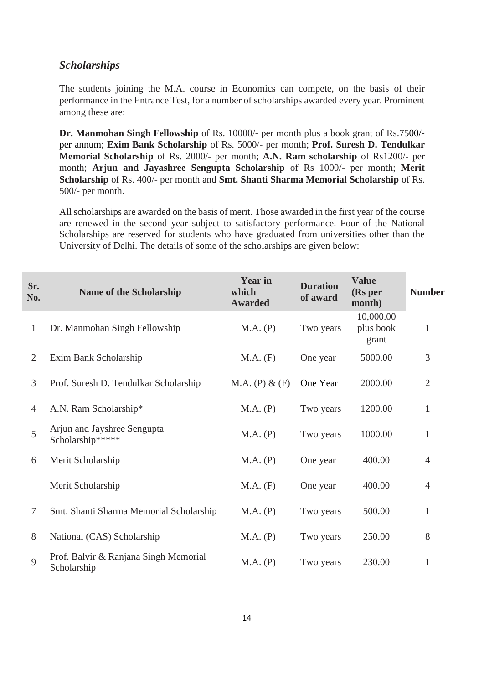## *Scholarships*

The students joining the M.A. course in Economics can compete, on the basis of their performance in the Entrance Test, for a number of scholarships awarded every year. Prominent among these are:

**Dr. Manmohan Singh Fellowship** of Rs. 10000/- per month plus a book grant of Rs.7500/ per annum; **Exim Bank Scholarship** of Rs. 5000/- per month; **Prof. Suresh D. Tendulkar Memorial Scholarship** of Rs. 2000/- per month; **A.N. Ram scholarship** of Rs1200/- per month; **Arjun and Jayashree Sengupta Scholarship** of Rs 1000/- per month; **Merit Scholarship** of Rs. 400/- per month and **Smt. Shanti Sharma Memorial Scholarship** of Rs. 500/- per month.

All scholarships are awarded on the basis of merit. Those awarded in the first year of the course are renewed in the second year subject to satisfactory performance. Four of the National Scholarships are reserved for students who have graduated from universities other than the University of Delhi. The details of some of the scholarships are given below:

| Sr.<br>No.     | Name of the Scholarship                              | <b>Year in</b><br>which<br><b>Awarded</b> | <b>Duration</b><br>of award | <b>Value</b><br>(Rs per<br>month) | <b>Number</b>  |
|----------------|------------------------------------------------------|-------------------------------------------|-----------------------------|-----------------------------------|----------------|
| $\mathbf{1}$   | Dr. Manmohan Singh Fellowship                        | M.A. (P)                                  | Two years                   | 10,000.00<br>plus book<br>grant   | $\mathbf{1}$   |
| $\overline{2}$ | Exim Bank Scholarship                                | M.A. (F)                                  | One year                    | 5000.00                           | 3              |
| 3              | Prof. Suresh D. Tendulkar Scholarship                | M.A. (P) & (F)                            | One Year                    | 2000.00                           | $\overline{2}$ |
| 4              | A.N. Ram Scholarship*                                | M.A. (P)                                  | Two years                   | 1200.00                           | $\mathbf{1}$   |
| 5              | Arjun and Jayshree Sengupta<br>Scholarship*****      | M.A. (P)                                  | Two years                   | 1000.00                           | $\mathbf{1}$   |
| 6              | Merit Scholarship                                    | M.A. (P)                                  | One year                    | 400.00                            | 4              |
|                | Merit Scholarship                                    | M.A. (F)                                  | One year                    | 400.00                            | $\overline{4}$ |
| 7              | Smt. Shanti Sharma Memorial Scholarship              | M.A. (P)                                  | Two years                   | 500.00                            | 1              |
| 8              | National (CAS) Scholarship                           | M.A. (P)                                  | Two years                   | 250.00                            | 8              |
| 9              | Prof. Balvir & Ranjana Singh Memorial<br>Scholarship | M.A. (P)                                  | Two years                   | 230.00                            | 1              |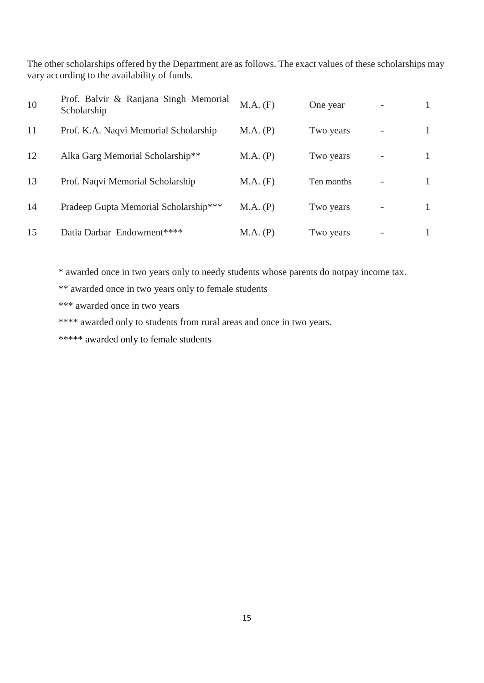The other scholarships offered by the Department are as follows. The exact values of these scholarships may vary according to the availability of funds.

| 10 | Prof. Balvir & Ranjana Singh Memorial<br>Scholarship | M.A. (F) | One year   |  |
|----|------------------------------------------------------|----------|------------|--|
| 11 | Prof. K.A. Naqvi Memorial Scholarship                | M.A. (P) | Two years  |  |
| 12 | Alka Garg Memorial Scholarship**                     | M.A. (P) | Two years  |  |
| 13 | Prof. Naqvi Memorial Scholarship                     | M.A. (F) | Ten months |  |
| 14 | Pradeep Gupta Memorial Scholarship***                | M.A. (P) | Two years  |  |
| 15 | Datia Darbar Endowment****                           | M.A. (P) | Two years  |  |

\* awarded once in two years only to needy students whose parents do notpay income tax.

\*\* awarded once in two years only to female students

\*\*\* awarded once in two years

\*\*\*\* awarded only to students from rural areas and once in two years.

\*\*\*\*\* awarded only to female students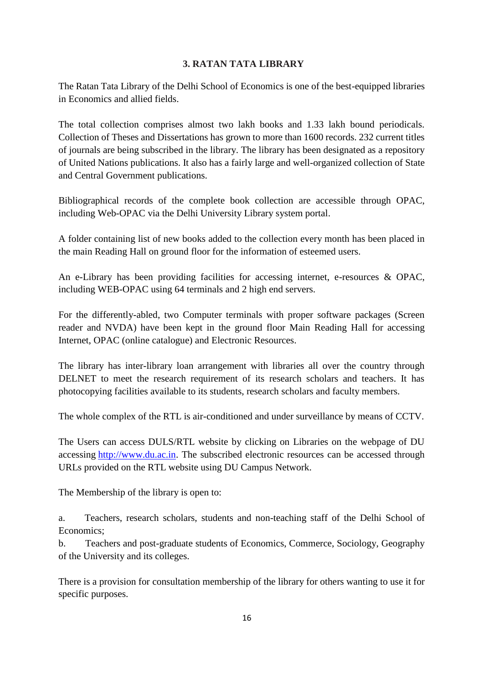## **3. RATAN TATA LIBRARY**

The Ratan Tata Library of the Delhi School of Economics is one of the best-equipped libraries in Economics and allied fields.

The total collection comprises almost two lakh books and 1.33 lakh bound periodicals. Collection of Theses and Dissertations has grown to more than 1600 records. 232 current titles of journals are being subscribed in the library. The library has been designated as a repository of United Nations publications. It also has a fairly large and well-organized collection of State and Central Government publications.

Bibliographical records of the complete book collection are accessible through OPAC, including Web-OPAC via the Delhi University Library system portal.

A folder containing list of new books added to the collection every month has been placed in the main Reading Hall on ground floor for the information of esteemed users.

An e-Library has been providing facilities for accessing internet, e-resources & OPAC, including WEB-OPAC using 64 terminals and 2 high end servers.

For the differently-abled, two Computer terminals with proper software packages (Screen reader and NVDA) have been kept in the ground floor Main Reading Hall for accessing Internet, OPAC (online catalogue) and Electronic Resources.

The library has inter-library loan arrangement with libraries all over the country through DELNET to meet the research requirement of its research scholars and teachers. It has photocopying facilities available to its students, research scholars and faculty members.

The whole complex of the RTL is air-conditioned and under surveillance by means of CCTV.

The Users can access DULS/RTL website by clicking on Libraries on the webpage of DU accessing [http://www.du.ac.in.](http://www.du.ac.in/) The subscribed electronic resources can be accessed through URLs provided on the RTL website using DU Campus Network.

The Membership of the library is open to:

a. Teachers, research scholars, students and non-teaching staff of the Delhi School of Economics;

b. Teachers and post-graduate students of Economics, Commerce, Sociology, Geography of the University and its colleges.

There is a provision for consultation membership of the library for others wanting to use it for specific purposes.